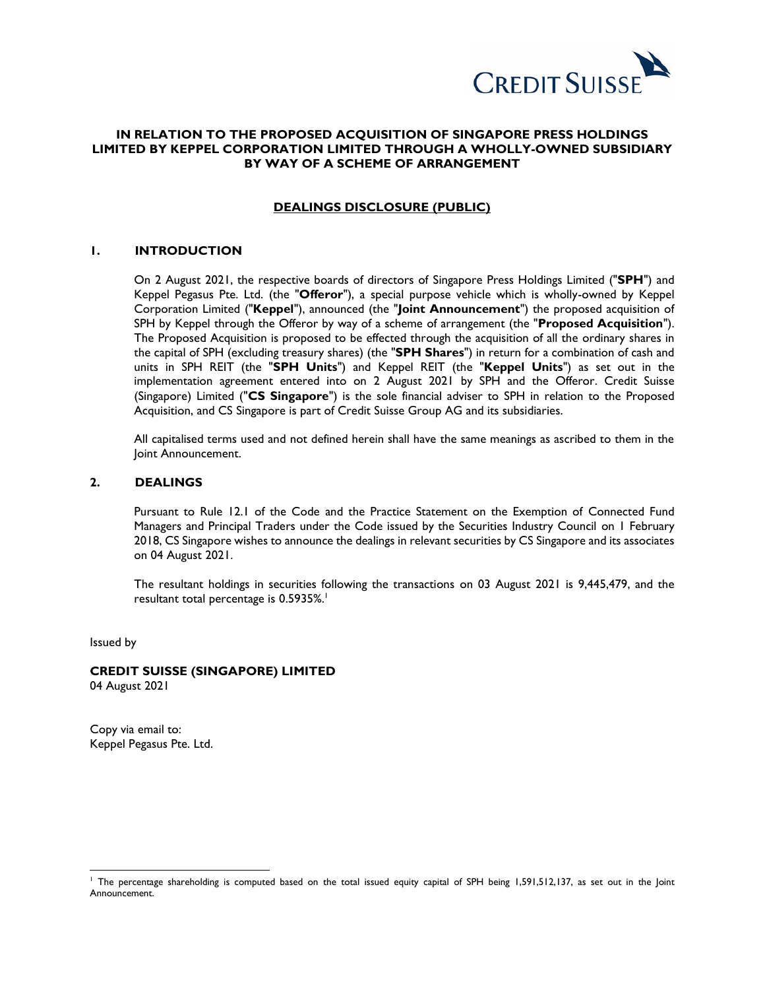

## **IN RELATION TO THE PROPOSED ACQUISITION OF SINGAPORE PRESS HOLDINGS LIMITED BY KEPPEL CORPORATION LIMITED THROUGH A WHOLLY-OWNED SUBSIDIARY BY WAY OF A SCHEME OF ARRANGEMENT**

#### **DEALINGS DISCLOSURE (PUBLIC)**

#### **1. INTRODUCTION**

On 2 August 2021, the respective boards of directors of Singapore Press Holdings Limited ("**SPH**") and Keppel Pegasus Pte. Ltd. (the "**Offeror**"), a special purpose vehicle which is wholly-owned by Keppel Corporation Limited ("**Keppel**"), announced (the "**Joint Announcement**") the proposed acquisition of SPH by Keppel through the Offeror by way of a scheme of arrangement (the "**Proposed Acquisition**"). The Proposed Acquisition is proposed to be effected through the acquisition of all the ordinary shares in the capital of SPH (excluding treasury shares) (the "**SPH Shares**") in return for a combination of cash and units in SPH REIT (the "**SPH Units**") and Keppel REIT (the "**Keppel Units**") as set out in the implementation agreement entered into on 2 August 2021 by SPH and the Offeror. Credit Suisse (Singapore) Limited ("**CS Singapore**") is the sole financial adviser to SPH in relation to the Proposed Acquisition, and CS Singapore is part of Credit Suisse Group AG and its subsidiaries.

All capitalised terms used and not defined herein shall have the same meanings as ascribed to them in the Joint Announcement.

#### **2. DEALINGS**

Pursuant to Rule 12.1 of the Code and the Practice Statement on the Exemption of Connected Fund Managers and Principal Traders under the Code issued by the Securities Industry Council on 1 February 2018, CS Singapore wishes to announce the dealings in relevant securities by CS Singapore and its associates on 04 August 2021.

The resultant holdings in securities following the transactions on 03 August 2021 is 9,445,479, and the resultant total percentage is 0.5935%. 1

Issued by

 $\overline{a}$ 

### **CREDIT SUISSE (SINGAPORE) LIMITED**

04 August 2021

Copy via email to: Keppel Pegasus Pte. Ltd.

<sup>&</sup>lt;sup>1</sup> The percentage shareholding is computed based on the total issued equity capital of SPH being 1,591,512,137, as set out in the Joint Announcement.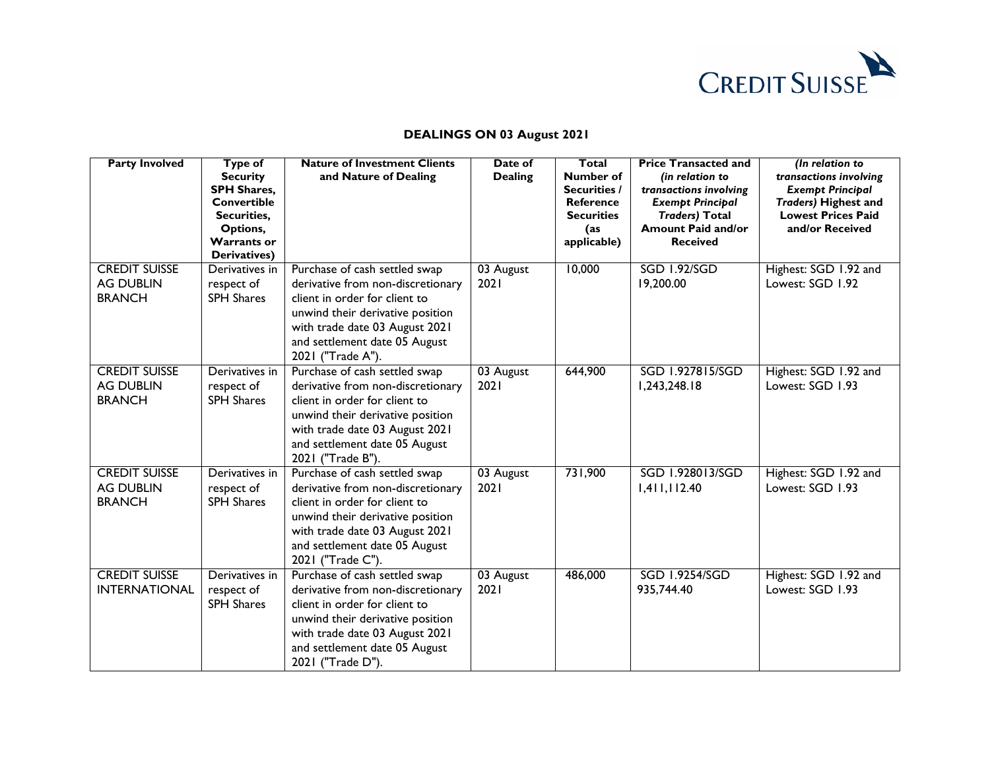

| <b>Party Involved</b>                                     | <b>Type of</b><br><b>Security</b><br><b>SPH Shares,</b><br><b>Convertible</b><br>Securities,<br>Options,<br><b>Warrants or</b><br>Derivatives) | <b>Nature of Investment Clients</b><br>and Nature of Dealing                                                                                                                                                                    | Date of<br><b>Dealing</b> | Total<br>Number of<br><b>Securities /</b><br><b>Reference</b><br><b>Securities</b><br>(as<br>applicable) | <b>Price Transacted and</b><br>(in relation to<br>transactions involving<br><b>Exempt Principal</b><br><b>Traders) Total</b><br><b>Amount Paid and/or</b><br><b>Received</b> | (In relation to<br>transactions involving<br><b>Exempt Principal</b><br><b>Traders) Highest and</b><br><b>Lowest Prices Paid</b><br>and/or Received |
|-----------------------------------------------------------|------------------------------------------------------------------------------------------------------------------------------------------------|---------------------------------------------------------------------------------------------------------------------------------------------------------------------------------------------------------------------------------|---------------------------|----------------------------------------------------------------------------------------------------------|------------------------------------------------------------------------------------------------------------------------------------------------------------------------------|-----------------------------------------------------------------------------------------------------------------------------------------------------|
| <b>CREDIT SUISSE</b><br><b>AG DUBLIN</b><br><b>BRANCH</b> | Derivatives in<br>respect of<br><b>SPH Shares</b>                                                                                              | Purchase of cash settled swap<br>derivative from non-discretionary<br>client in order for client to<br>unwind their derivative position<br>with trade date 03 August 2021<br>and settlement date 05 August<br>2021 ("Trade A"). | 03 August<br>2021         | 10,000                                                                                                   | <b>SGD 1.92/SGD</b><br>19,200.00                                                                                                                                             | Highest: SGD 1.92 and<br>Lowest: SGD 1.92                                                                                                           |
| <b>CREDIT SUISSE</b><br><b>AG DUBLIN</b><br><b>BRANCH</b> | Derivatives in<br>respect of<br><b>SPH Shares</b>                                                                                              | Purchase of cash settled swap<br>derivative from non-discretionary<br>client in order for client to<br>unwind their derivative position<br>with trade date 03 August 2021<br>and settlement date 05 August<br>2021 ("Trade B"). | 03 August<br>2021         | 644,900                                                                                                  | SGD 1.927815/SGD<br>1,243,248.18                                                                                                                                             | Highest: SGD 1.92 and<br>Lowest: SGD 1.93                                                                                                           |
| <b>CREDIT SUISSE</b><br><b>AG DUBLIN</b><br><b>BRANCH</b> | Derivatives in<br>respect of<br><b>SPH Shares</b>                                                                                              | Purchase of cash settled swap<br>derivative from non-discretionary<br>client in order for client to<br>unwind their derivative position<br>with trade date 03 August 2021<br>and settlement date 05 August<br>2021 ("Trade C"). | 03 August<br>2021         | 731,900                                                                                                  | SGD 1.928013/SGD<br>1,411,112.40                                                                                                                                             | Highest: SGD 1.92 and<br>Lowest: SGD 1.93                                                                                                           |
| <b>CREDIT SUISSE</b><br><b>INTERNATIONAL</b>              | Derivatives in<br>respect of<br><b>SPH Shares</b>                                                                                              | Purchase of cash settled swap<br>derivative from non-discretionary<br>client in order for client to<br>unwind their derivative position<br>with trade date 03 August 2021<br>and settlement date 05 August<br>2021 ("Trade D"). | 03 August<br>2021         | 486,000                                                                                                  | <b>SGD 1.9254/SGD</b><br>935,744.40                                                                                                                                          | Highest: SGD 1.92 and<br>Lowest: SGD 1.93                                                                                                           |

# **DEALINGS ON 03 August 2021**